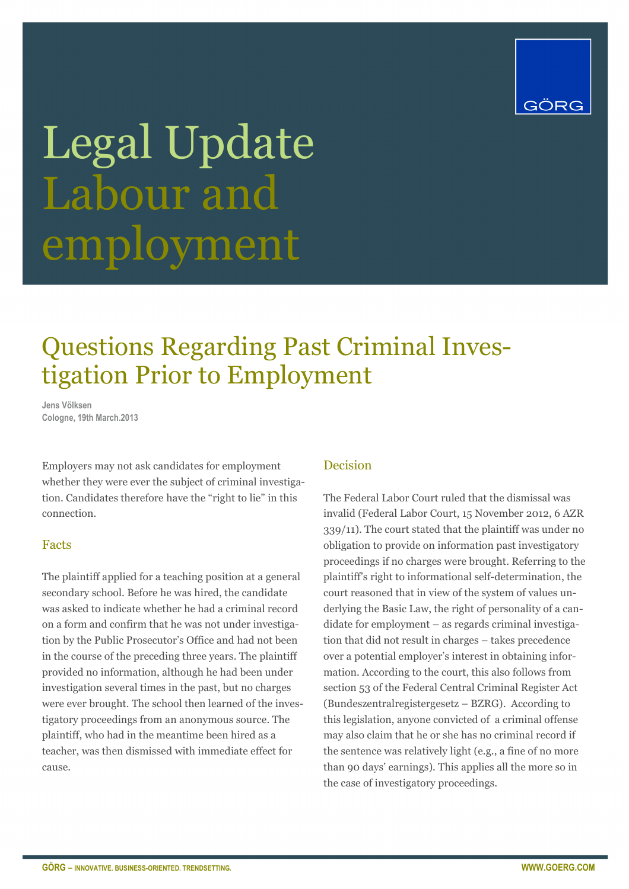

# Legal Update Labour and employment

# Questions Regarding Past Criminal Investigation Prior to Employment

**Jens Völksen Cologne, 19th March.2013** 

Employers may not ask candidates for employment whether they were ever the subject of criminal investigation. Candidates therefore have the "right to lie" in this connection.

### Facts

The plaintiff applied for a teaching position at a general secondary school. Before he was hired, the candidate was asked to indicate whether he had a criminal record on a form and confirm that he was not under investigation by the Public Prosecutor's Office and had not been in the course of the preceding three years. The plaintiff provided no information, although he had been under investigation several times in the past, but no charges were ever brought. The school then learned of the investigatory proceedings from an anonymous source. The plaintiff, who had in the meantime been hired as a teacher, was then dismissed with immediate effect for cause.

## Decision

The Federal Labor Court ruled that the dismissal was invalid (Federal Labor Court, 15 November 2012, 6 AZR 339/11). The court stated that the plaintiff was under no obligation to provide on information past investigatory proceedings if no charges were brought. Referring to the plaintiff's right to informational self-determination, the court reasoned that in view of the system of values underlying the Basic Law, the right of personality of a candidate for employment – as regards criminal investigation that did not result in charges – takes precedence over a potential employer's interest in obtaining information. According to the court, this also follows from section 53 of the Federal Central Criminal Register Act (Bundeszentralregistergesetz – BZRG). According to this legislation, anyone convicted of a criminal offense may also claim that he or she has no criminal record if the sentence was relatively light (e.g., a fine of no more than 90 days' earnings). This applies all the more so in the case of investigatory proceedings.